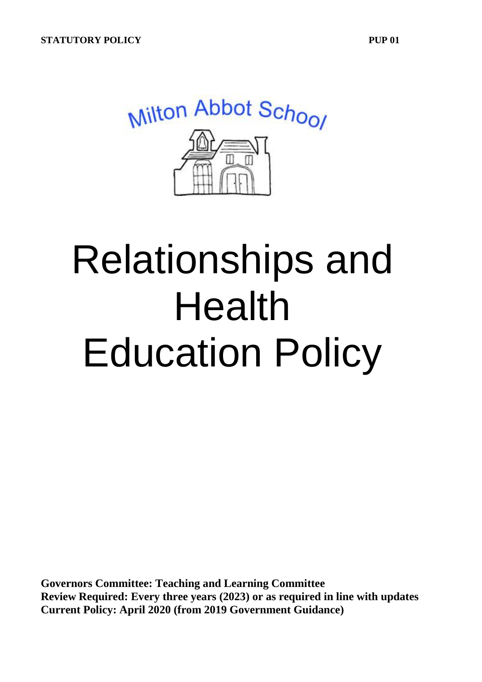

# Relationships and Health Education Policy

**Governors Committee: Teaching and Learning Committee Review Required: Every three years (2023) or as required in line with updates Current Policy: April 2020 (from 2019 Government Guidance)**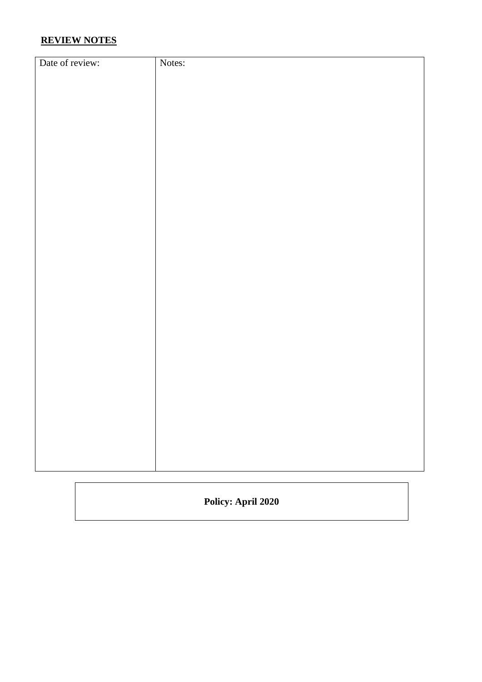## **REVIEW NOTES**

| Date of review: | Notes: |
|-----------------|--------|
|                 |        |
|                 |        |
|                 |        |
|                 |        |
|                 |        |
|                 |        |
|                 |        |
|                 |        |
|                 |        |
|                 |        |
|                 |        |
|                 |        |
|                 |        |
|                 |        |
|                 |        |
|                 |        |
|                 |        |
|                 |        |
|                 |        |
|                 |        |
|                 |        |
|                 |        |
|                 |        |
|                 |        |
|                 |        |
|                 |        |
|                 |        |
|                 |        |
|                 |        |
|                 |        |
|                 |        |
|                 |        |

**Policy: April 2020**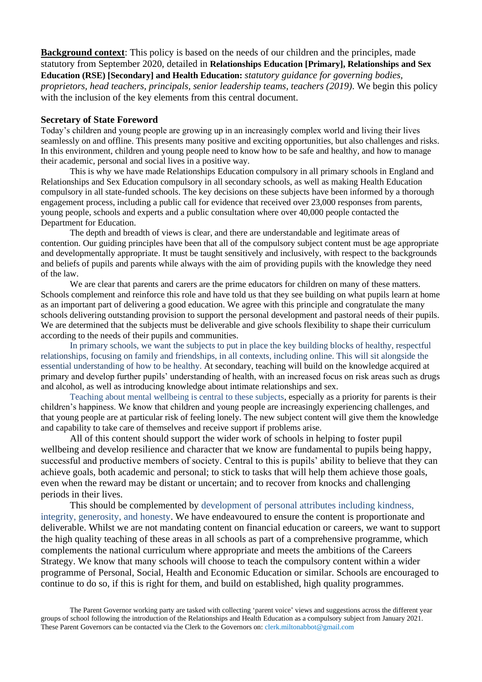**Background context**: This policy is based on the needs of our children and the principles, made statutory from September 2020, detailed in **Relationships Education [Primary], Relationships and Sex Education (RSE) [Secondary] and Health Education:** *statutory guidance for governing bodies, proprietors, head teachers, principals, senior leadership teams, teachers (2019)*. We begin this policy with the inclusion of the key elements from this central document.

#### **Secretary of State Foreword**

Today's children and young people are growing up in an increasingly complex world and living their lives seamlessly on and offline. This presents many positive and exciting opportunities, but also challenges and risks. In this environment, children and young people need to know how to be safe and healthy, and how to manage their academic, personal and social lives in a positive way.

This is why we have made Relationships Education compulsory in all primary schools in England and Relationships and Sex Education compulsory in all secondary schools, as well as making Health Education compulsory in all state-funded schools. The key decisions on these subjects have been informed by a thorough engagement process, including a public call for evidence that received over 23,000 responses from parents, young people, schools and experts and a public consultation where over 40,000 people contacted the Department for Education.

The depth and breadth of views is clear, and there are understandable and legitimate areas of contention. Our guiding principles have been that all of the compulsory subject content must be age appropriate and developmentally appropriate. It must be taught sensitively and inclusively, with respect to the backgrounds and beliefs of pupils and parents while always with the aim of providing pupils with the knowledge they need of the law.

We are clear that parents and carers are the prime educators for children on many of these matters. Schools complement and reinforce this role and have told us that they see building on what pupils learn at home as an important part of delivering a good education. We agree with this principle and congratulate the many schools delivering outstanding provision to support the personal development and pastoral needs of their pupils. We are determined that the subjects must be deliverable and give schools flexibility to shape their curriculum according to the needs of their pupils and communities.

In primary schools, we want the subjects to put in place the key building blocks of healthy, respectful relationships, focusing on family and friendships, in all contexts, including online. This will sit alongside the essential understanding of how to be healthy. At secondary, teaching will build on the knowledge acquired at primary and develop further pupils' understanding of health, with an increased focus on risk areas such as drugs and alcohol, as well as introducing knowledge about intimate relationships and sex.

Teaching about mental wellbeing is central to these subjects, especially as a priority for parents is their children's happiness. We know that children and young people are increasingly experiencing challenges, and that young people are at particular risk of feeling lonely. The new subject content will give them the knowledge and capability to take care of themselves and receive support if problems arise.

All of this content should support the wider work of schools in helping to foster pupil wellbeing and develop resilience and character that we know are fundamental to pupils being happy, successful and productive members of society. Central to this is pupils' ability to believe that they can achieve goals, both academic and personal; to stick to tasks that will help them achieve those goals, even when the reward may be distant or uncertain; and to recover from knocks and challenging periods in their lives.

This should be complemented by development of personal attributes including kindness, integrity, generosity, and honesty. We have endeavoured to ensure the content is proportionate and deliverable. Whilst we are not mandating content on financial education or careers, we want to support the high quality teaching of these areas in all schools as part of a comprehensive programme, which complements the national curriculum where appropriate and meets the ambitions of the Careers Strategy. We know that many schools will choose to teach the compulsory content within a wider programme of Personal, Social, Health and Economic Education or similar. Schools are encouraged to continue to do so, if this is right for them, and build on established, high quality programmes.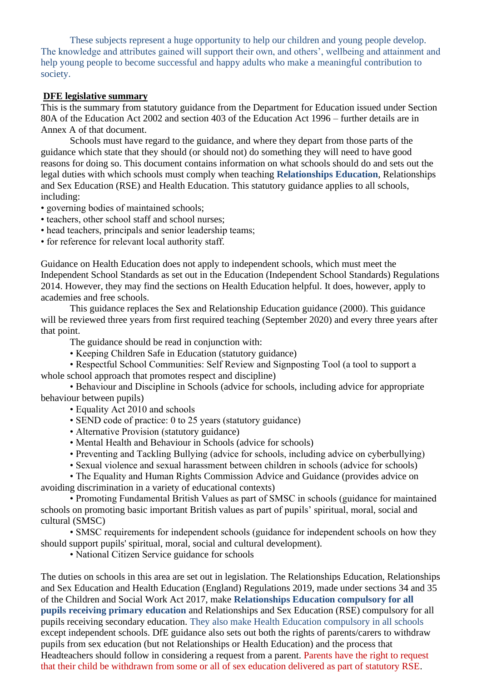These subjects represent a huge opportunity to help our children and young people develop. The knowledge and attributes gained will support their own, and others', wellbeing and attainment and help young people to become successful and happy adults who make a meaningful contribution to society.

## **DFE legislative summary**

This is the summary from statutory guidance from the Department for Education issued under Section 80A of the Education Act 2002 and section 403 of the Education Act 1996 – further details are in Annex A of that document.

Schools must have regard to the guidance, and where they depart from those parts of the guidance which state that they should (or should not) do something they will need to have good reasons for doing so. This document contains information on what schools should do and sets out the legal duties with which schools must comply when teaching **Relationships Education**, Relationships and Sex Education (RSE) and Health Education. This statutory guidance applies to all schools, including:

- governing bodies of maintained schools;
- teachers, other school staff and school nurses;
- head teachers, principals and senior leadership teams;

• for reference for relevant local authority staff.

Guidance on Health Education does not apply to independent schools, which must meet the Independent School Standards as set out in the Education (Independent School Standards) Regulations 2014. However, they may find the sections on Health Education helpful. It does, however, apply to academies and free schools.

This guidance replaces the Sex and Relationship Education guidance (2000). This guidance will be reviewed three years from first required teaching (September 2020) and every three years after that point.

The guidance should be read in conjunction with:

• Keeping Children Safe in Education (statutory guidance)

• Respectful School Communities: Self Review and Signposting Tool (a tool to support a whole school approach that promotes respect and discipline)

• Behaviour and Discipline in Schools (advice for schools, including advice for appropriate behaviour between pupils)

- Equality Act 2010 and schools
- SEND code of practice: 0 to 25 years (statutory guidance)
- Alternative Provision (statutory guidance)
- Mental Health and Behaviour in Schools (advice for schools)
- Preventing and Tackling Bullying (advice for schools, including advice on cyberbullying)
- Sexual violence and sexual harassment between children in schools (advice for schools)

• The Equality and Human Rights Commission Advice and Guidance (provides advice on avoiding discrimination in a variety of educational contexts)

• Promoting Fundamental British Values as part of SMSC in schools (guidance for maintained schools on promoting basic important British values as part of pupils' spiritual, moral, social and cultural (SMSC)

• SMSC requirements for independent schools (guidance for independent schools on how they should support pupils' spiritual, moral, social and cultural development).

• National Citizen Service guidance for schools

The duties on schools in this area are set out in legislation. The Relationships Education, Relationships and Sex Education and Health Education (England) Regulations 2019, made under sections 34 and 35 of the Children and Social Work Act 2017, make **Relationships Education compulsory for all pupils receiving primary education** and Relationships and Sex Education (RSE) compulsory for all pupils receiving secondary education. They also make Health Education compulsory in all schools except independent schools. DfE guidance also sets out both the rights of parents/carers to withdraw pupils from sex education (but not Relationships or Health Education) and the process that Headteachers should follow in considering a request from a parent. Parents have the right to request that their child be withdrawn from some or all of sex education delivered as part of statutory RSE.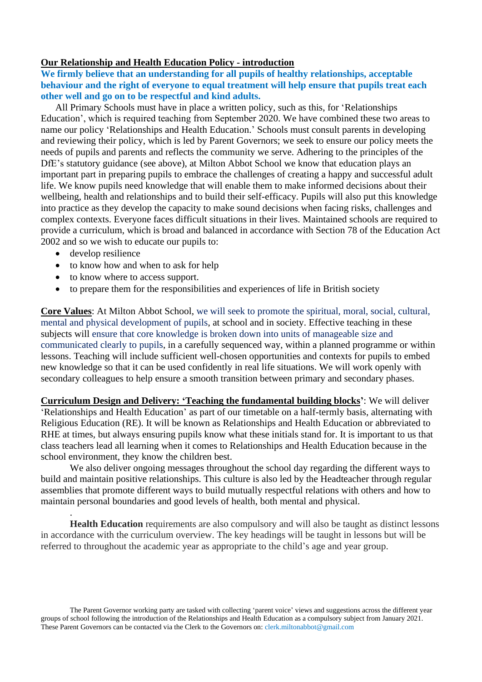## **Our Relationship and Health Education Policy - introduction**

**We firmly believe that an understanding for all pupils of healthy relationships, acceptable behaviour and the right of everyone to equal treatment will help ensure that pupils treat each other well and go on to be respectful and kind adults.** 

All Primary Schools must have in place a written policy, such as this, for 'Relationships Education', which is required teaching from September 2020. We have combined these two areas to name our policy 'Relationships and Health Education.' Schools must consult parents in developing and reviewing their policy, which is led by Parent Governors; we seek to ensure our policy meets the needs of pupils and parents and reflects the community we serve. Adhering to the principles of the DfE's statutory guidance (see above), at Milton Abbot School we know that education plays an important part in preparing pupils to embrace the challenges of creating a happy and successful adult life. We know pupils need knowledge that will enable them to make informed decisions about their wellbeing, health and relationships and to build their self-efficacy. Pupils will also put this knowledge into practice as they develop the capacity to make sound decisions when facing risks, challenges and complex contexts. Everyone faces difficult situations in their lives. Maintained schools are required to provide a curriculum, which is broad and balanced in accordance with Section 78 of the Education Act 2002 and so we wish to educate our pupils to:

• develop resilience

.

- to know how and when to ask for help
- to know where to access support.
- to prepare them for the responsibilities and experiences of life in British society

**Core Values**: At Milton Abbot School, we will seek to promote the spiritual, moral, social, cultural, mental and physical development of pupils, at school and in society. Effective teaching in these subjects will ensure that core knowledge is broken down into units of manageable size and communicated clearly to pupils, in a carefully sequenced way, within a planned programme or within lessons. Teaching will include sufficient well-chosen opportunities and contexts for pupils to embed new knowledge so that it can be used confidently in real life situations. We will work openly with secondary colleagues to help ensure a smooth transition between primary and secondary phases.

**Curriculum Design and Delivery: 'Teaching the fundamental building blocks'**: We will deliver 'Relationships and Health Education' as part of our timetable on a half-termly basis, alternating with Religious Education (RE). It will be known as Relationships and Health Education or abbreviated to RHE at times, but always ensuring pupils know what these initials stand for. It is important to us that class teachers lead all learning when it comes to Relationships and Health Education because in the school environment, they know the children best.

We also deliver ongoing messages throughout the school day regarding the different ways to build and maintain positive relationships. This culture is also led by the Headteacher through regular assemblies that promote different ways to build mutually respectful relations with others and how to maintain personal boundaries and good levels of health, both mental and physical.

**Health Education** requirements are also compulsory and will also be taught as distinct lessons in accordance with the curriculum overview. The key headings will be taught in lessons but will be referred to throughout the academic year as appropriate to the child's age and year group.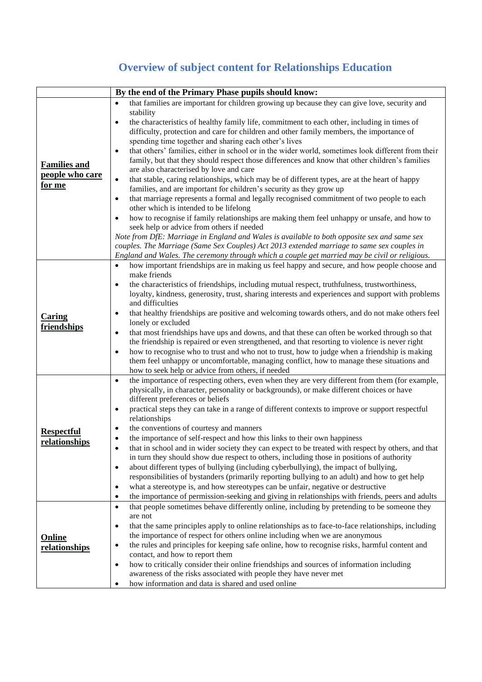## **Overview of subject content for Relationships Education**

|                     | By the end of the Primary Phase pupils should know:                                                                                                                                                               |
|---------------------|-------------------------------------------------------------------------------------------------------------------------------------------------------------------------------------------------------------------|
|                     | that families are important for children growing up because they can give love, security and<br>$\bullet$                                                                                                         |
|                     | stability                                                                                                                                                                                                         |
|                     | the characteristics of healthy family life, commitment to each other, including in times of<br>$\bullet$                                                                                                          |
|                     | difficulty, protection and care for children and other family members, the importance of                                                                                                                          |
|                     | spending time together and sharing each other's lives                                                                                                                                                             |
|                     | that others' families, either in school or in the wider world, sometimes look different from their<br>$\bullet$<br>family, but that they should respect those differences and know that other children's families |
| <b>Families and</b> | are also characterised by love and care                                                                                                                                                                           |
| people who care     | that stable, caring relationships, which may be of different types, are at the heart of happy<br>$\bullet$                                                                                                        |
| for me              | families, and are important for children's security as they grow up                                                                                                                                               |
|                     | that marriage represents a formal and legally recognised commitment of two people to each<br>$\bullet$                                                                                                            |
|                     | other which is intended to be lifelong                                                                                                                                                                            |
|                     | how to recognise if family relationships are making them feel unhappy or unsafe, and how to<br>$\bullet$                                                                                                          |
|                     | seek help or advice from others if needed                                                                                                                                                                         |
|                     | Note from DfE: Marriage in England and Wales is available to both opposite sex and same sex                                                                                                                       |
|                     | couples. The Marriage (Same Sex Couples) Act 2013 extended marriage to same sex couples in<br>England and Wales. The ceremony through which a couple get married may be civil or religious.                       |
|                     | how important friendships are in making us feel happy and secure, and how people choose and<br>$\bullet$                                                                                                          |
|                     | make friends                                                                                                                                                                                                      |
|                     | the characteristics of friendships, including mutual respect, truthfulness, trustworthiness,<br>$\bullet$                                                                                                         |
|                     | loyalty, kindness, generosity, trust, sharing interests and experiences and support with problems                                                                                                                 |
|                     | and difficulties                                                                                                                                                                                                  |
| <b>Caring</b>       | that healthy friendships are positive and welcoming towards others, and do not make others feel<br>$\bullet$                                                                                                      |
| friendships         | lonely or excluded                                                                                                                                                                                                |
|                     | that most friendships have ups and downs, and that these can often be worked through so that<br>$\bullet$                                                                                                         |
|                     | the friendship is repaired or even strengthened, and that resorting to violence is never right                                                                                                                    |
|                     | how to recognise who to trust and who not to trust, how to judge when a friendship is making<br>$\bullet$<br>them feel unhappy or uncomfortable, managing conflict, how to manage these situations and            |
|                     | how to seek help or advice from others, if needed                                                                                                                                                                 |
|                     | the importance of respecting others, even when they are very different from them (for example,<br>$\bullet$                                                                                                       |
|                     | physically, in character, personality or backgrounds), or make different choices or have                                                                                                                          |
|                     | different preferences or beliefs                                                                                                                                                                                  |
|                     | practical steps they can take in a range of different contexts to improve or support respectful<br>$\bullet$                                                                                                      |
|                     | relationships                                                                                                                                                                                                     |
| <b>Respectful</b>   | the conventions of courtesy and manners<br>٠                                                                                                                                                                      |
| relationships       | the importance of self-respect and how this links to their own happiness<br>٠<br>that in school and in wider society they can expect to be treated with respect by others, and that                               |
|                     | in turn they should show due respect to others, including those in positions of authority                                                                                                                         |
|                     | about different types of bullying (including cyberbullying), the impact of bullying,<br>$\bullet$                                                                                                                 |
|                     | responsibilities of bystanders (primarily reporting bullying to an adult) and how to get help                                                                                                                     |
|                     | what a stereotype is, and how stereotypes can be unfair, negative or destructive<br>$\bullet$                                                                                                                     |
|                     | the importance of permission-seeking and giving in relationships with friends, peers and adults<br>$\bullet$                                                                                                      |
|                     | that people sometimes behave differently online, including by pretending to be someone they<br>$\bullet$                                                                                                          |
|                     | are not                                                                                                                                                                                                           |
|                     | that the same principles apply to online relationships as to face-to-face relationships, including<br>$\bullet$                                                                                                   |
| Online              | the importance of respect for others online including when we are anonymous                                                                                                                                       |
| relationships       | the rules and principles for keeping safe online, how to recognise risks, harmful content and<br>$\bullet$                                                                                                        |
|                     | contact, and how to report them                                                                                                                                                                                   |
|                     | how to critically consider their online friendships and sources of information including<br>$\bullet$<br>awareness of the risks associated with people they have never met                                        |
|                     | how information and data is shared and used online<br>$\bullet$                                                                                                                                                   |
|                     |                                                                                                                                                                                                                   |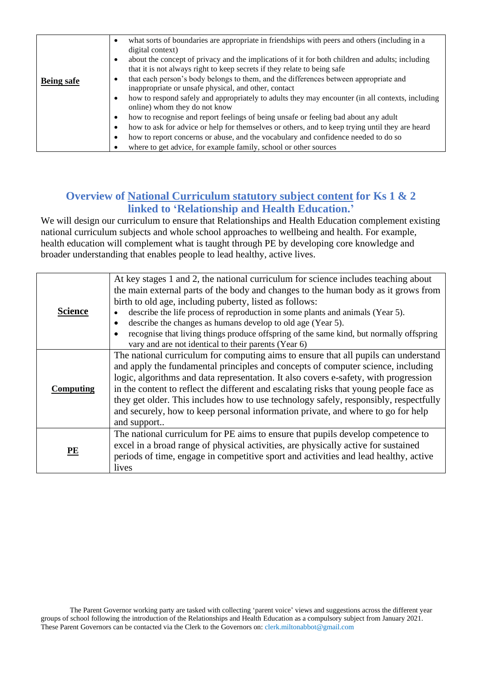|                   | what sorts of boundaries are appropriate in friendships with peers and others (including in a<br>$\bullet$<br>digital context)                                                           |
|-------------------|------------------------------------------------------------------------------------------------------------------------------------------------------------------------------------------|
|                   | about the concept of privacy and the implications of it for both children and adults; including<br>$\bullet$<br>that it is not always right to keep secrets if they relate to being safe |
|                   | that each person's body belongs to them, and the differences between appropriate and<br>$\bullet$                                                                                        |
| <b>Being safe</b> | inappropriate or unsafe physical, and other, contact                                                                                                                                     |
|                   | how to respond safely and appropriately to adults they may encounter (in all contexts, including<br>$\bullet$<br>online) whom they do not know                                           |
|                   | how to recognise and report feelings of being unsafe or feeling bad about any adult<br>$\bullet$                                                                                         |
|                   | how to ask for advice or help for themselves or others, and to keep trying until they are heard<br>٠                                                                                     |
|                   | how to report concerns or abuse, and the vocabulary and confidence needed to do so<br>$\bullet$                                                                                          |
|                   | where to get advice, for example family, school or other sources                                                                                                                         |

## **Overview of National Curriculum statutory subject content for Ks 1 & 2 linked to 'Relationship and Health Education.'**

We will design our curriculum to ensure that Relationships and Health Education complement existing national curriculum subjects and whole school approaches to wellbeing and health. For example, health education will complement what is taught through PE by developing core knowledge and broader understanding that enables people to lead healthy, active lives.

| <b>Science</b>           | At key stages 1 and 2, the national curriculum for science includes teaching about<br>the main external parts of the body and changes to the human body as it grows from<br>birth to old age, including puberty, listed as follows:<br>describe the life process of reproduction in some plants and animals (Year 5).<br>describe the changes as humans develop to old age (Year 5).<br>recognise that living things produce offspring of the same kind, but normally offspring<br>vary and are not identical to their parents (Year 6)               |
|--------------------------|-------------------------------------------------------------------------------------------------------------------------------------------------------------------------------------------------------------------------------------------------------------------------------------------------------------------------------------------------------------------------------------------------------------------------------------------------------------------------------------------------------------------------------------------------------|
| <b>Computing</b>         | The national curriculum for computing aims to ensure that all pupils can understand<br>and apply the fundamental principles and concepts of computer science, including<br>logic, algorithms and data representation. It also covers e-safety, with progression<br>in the content to reflect the different and escalating risks that young people face as<br>they get older. This includes how to use technology safely, responsibly, respectfully<br>and securely, how to keep personal information private, and where to go for help<br>and support |
| $\overline{\mathbf{PE}}$ | The national curriculum for PE aims to ensure that pupils develop competence to<br>excel in a broad range of physical activities, are physically active for sustained<br>periods of time, engage in competitive sport and activities and lead healthy, active<br>lives                                                                                                                                                                                                                                                                                |

The Parent Governor working party are tasked with collecting 'parent voice' views and suggestions across the different year groups of school following the introduction of the Relationships and Health Education as a compulsory subject from January 2021. These Parent Governors can be contacted via the Clerk to the Governors on: clerk.miltonabbot@gmail.com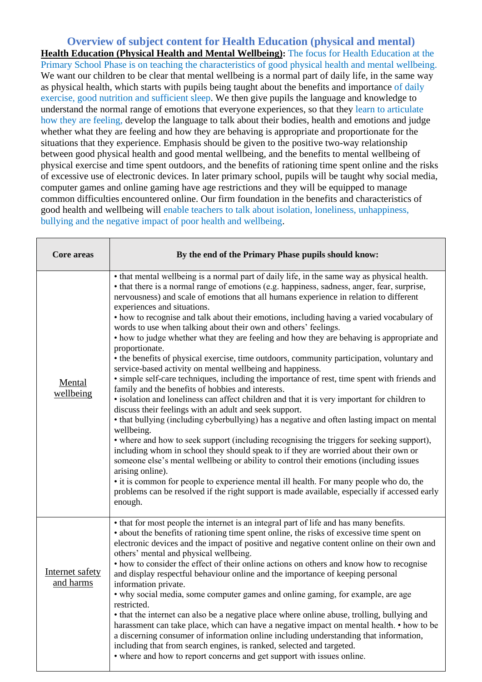**Overview of subject content for Health Education (physical and mental) Health Education (Physical Health and Mental Wellbeing):** The focus for Health Education at the Primary School Phase is on teaching the characteristics of good physical health and mental wellbeing. We want our children to be clear that mental wellbeing is a normal part of daily life, in the same way as physical health, which starts with pupils being taught about the benefits and importance of daily exercise, good nutrition and sufficient sleep. We then give pupils the language and knowledge to understand the normal range of emotions that everyone experiences, so that they learn to articulate how they are feeling, develop the language to talk about their bodies, health and emotions and judge whether what they are feeling and how they are behaving is appropriate and proportionate for the situations that they experience. Emphasis should be given to the positive two-way relationship between good physical health and good mental wellbeing, and the benefits to mental wellbeing of physical exercise and time spent outdoors, and the benefits of rationing time spent online and the risks of excessive use of electronic devices. In later primary school, pupils will be taught why social media, computer games and online gaming have age restrictions and they will be equipped to manage common difficulties encountered online. Our firm foundation in the benefits and characteristics of good health and wellbeing will enable teachers to talk about isolation, loneliness, unhappiness, bullying and the negative impact of poor health and wellbeing.

| Core areas                   | By the end of the Primary Phase pupils should know:                                                                                                                                                                                                                                                                                                                                                                                                                                                                                                                                                                                                                                                                                                                                                                                                                                                                                                                                                                                                                                                                                                                                                                                                                                                                                                                                                                                                                                                                                                                                                                                                                                                |  |  |  |  |
|------------------------------|----------------------------------------------------------------------------------------------------------------------------------------------------------------------------------------------------------------------------------------------------------------------------------------------------------------------------------------------------------------------------------------------------------------------------------------------------------------------------------------------------------------------------------------------------------------------------------------------------------------------------------------------------------------------------------------------------------------------------------------------------------------------------------------------------------------------------------------------------------------------------------------------------------------------------------------------------------------------------------------------------------------------------------------------------------------------------------------------------------------------------------------------------------------------------------------------------------------------------------------------------------------------------------------------------------------------------------------------------------------------------------------------------------------------------------------------------------------------------------------------------------------------------------------------------------------------------------------------------------------------------------------------------------------------------------------------------|--|--|--|--|
| <b>Mental</b><br>wellbeing   | • that mental wellbeing is a normal part of daily life, in the same way as physical health.<br>• that there is a normal range of emotions (e.g. happiness, sadness, anger, fear, surprise,<br>nervousness) and scale of emotions that all humans experience in relation to different<br>experiences and situations.<br>• how to recognise and talk about their emotions, including having a varied vocabulary of<br>words to use when talking about their own and others' feelings.<br>• how to judge whether what they are feeling and how they are behaving is appropriate and<br>proportionate.<br>• the benefits of physical exercise, time outdoors, community participation, voluntary and<br>service-based activity on mental wellbeing and happiness.<br>· simple self-care techniques, including the importance of rest, time spent with friends and<br>family and the benefits of hobbies and interests.<br>· isolation and loneliness can affect children and that it is very important for children to<br>discuss their feelings with an adult and seek support.<br>• that bullying (including cyberbullying) has a negative and often lasting impact on mental<br>wellbeing.<br>• where and how to seek support (including recognising the triggers for seeking support),<br>including whom in school they should speak to if they are worried about their own or<br>someone else's mental wellbeing or ability to control their emotions (including issues<br>arising online).<br>• it is common for people to experience mental ill health. For many people who do, the<br>problems can be resolved if the right support is made available, especially if accessed early<br>enough. |  |  |  |  |
| Internet safety<br>and harms | • that for most people the internet is an integral part of life and has many benefits.<br>• about the benefits of rationing time spent online, the risks of excessive time spent on<br>electronic devices and the impact of positive and negative content online on their own and<br>others' mental and physical wellbeing.<br>• how to consider the effect of their online actions on others and know how to recognise<br>and display respectful behaviour online and the importance of keeping personal<br>information private.<br>• why social media, some computer games and online gaming, for example, are age<br>restricted.<br>• that the internet can also be a negative place where online abuse, trolling, bullying and<br>harassment can take place, which can have a negative impact on mental health. • how to be<br>a discerning consumer of information online including understanding that information,<br>including that from search engines, is ranked, selected and targeted.<br>• where and how to report concerns and get support with issues online.                                                                                                                                                                                                                                                                                                                                                                                                                                                                                                                                                                                                                        |  |  |  |  |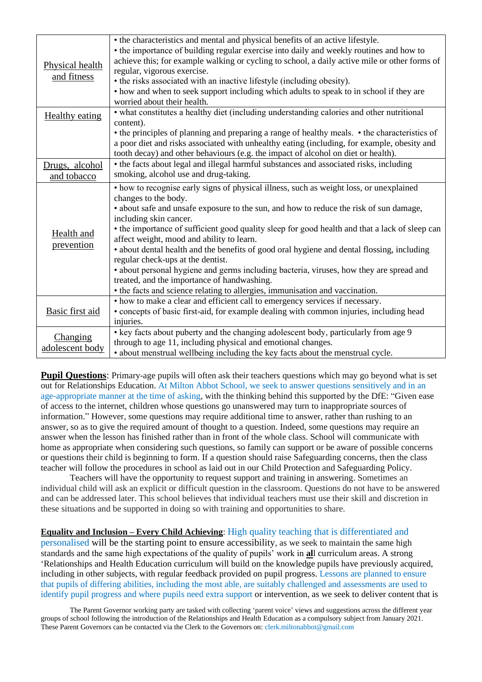| Physical health<br>and fitness | • the characteristics and mental and physical benefits of an active lifestyle.<br>• the importance of building regular exercise into daily and weekly routines and how to<br>achieve this; for example walking or cycling to school, a daily active mile or other forms of<br>regular, vigorous exercise.<br>• the risks associated with an inactive lifestyle (including obesity).<br>• how and when to seek support including which adults to speak to in school if they are<br>worried about their health.                                                                                                                                                                                                                                   |
|--------------------------------|-------------------------------------------------------------------------------------------------------------------------------------------------------------------------------------------------------------------------------------------------------------------------------------------------------------------------------------------------------------------------------------------------------------------------------------------------------------------------------------------------------------------------------------------------------------------------------------------------------------------------------------------------------------------------------------------------------------------------------------------------|
| <b>Healthy eating</b>          | • what constitutes a healthy diet (including understanding calories and other nutritional<br>content).<br>• the principles of planning and preparing a range of healthy meals. • the characteristics of<br>a poor diet and risks associated with unhealthy eating (including, for example, obesity and<br>tooth decay) and other behaviours (e.g. the impact of alcohol on diet or health).                                                                                                                                                                                                                                                                                                                                                     |
| Drugs, alcohol<br>and tobacco  | • the facts about legal and illegal harmful substances and associated risks, including<br>smoking, alcohol use and drug-taking.                                                                                                                                                                                                                                                                                                                                                                                                                                                                                                                                                                                                                 |
| Health and<br>prevention       | • how to recognise early signs of physical illness, such as weight loss, or unexplained<br>changes to the body.<br>• about safe and unsafe exposure to the sun, and how to reduce the risk of sun damage,<br>including skin cancer.<br>• the importance of sufficient good quality sleep for good health and that a lack of sleep can<br>affect weight, mood and ability to learn.<br>• about dental health and the benefits of good oral hygiene and dental flossing, including<br>regular check-ups at the dentist.<br>• about personal hygiene and germs including bacteria, viruses, how they are spread and<br>treated, and the importance of handwashing.<br>• the facts and science relating to allergies, immunisation and vaccination. |
| Basic first aid                | • how to make a clear and efficient call to emergency services if necessary.<br>• concepts of basic first-aid, for example dealing with common injuries, including head<br>injuries.                                                                                                                                                                                                                                                                                                                                                                                                                                                                                                                                                            |
| Changing<br>adolescent body    | • key facts about puberty and the changing adolescent body, particularly from age 9<br>through to age 11, including physical and emotional changes.<br>• about menstrual wellbeing including the key facts about the menstrual cycle.                                                                                                                                                                                                                                                                                                                                                                                                                                                                                                           |

**Pupil Questions**: Primary-age pupils will often ask their teachers questions which may go beyond what is set out for Relationships Education. At Milton Abbot School, we seek to answer questions sensitively and in an age-appropriate manner at the time of asking, with the thinking behind this supported by the DfE: "Given ease of access to the internet, children whose questions go unanswered may turn to inappropriate sources of information." However, some questions may require additional time to answer, rather than rushing to an answer, so as to give the required amount of thought to a question. Indeed, some questions may require an answer when the lesson has finished rather than in front of the whole class. School will communicate with home as appropriate when considering such questions, so family can support or be aware of possible concerns or questions their child is beginning to form. If a question should raise Safeguarding concerns, then the class teacher will follow the procedures in school as laid out in our Child Protection and Safeguarding Policy.

Teachers will have the opportunity to request support and training in answering. Sometimes an individual child will ask an explicit or difficult question in the classroom. Questions do not have to be answered and can be addressed later. This school believes that individual teachers must use their skill and discretion in these situations and be supported in doing so with training and opportunities to share.

### **Equality and Inclusion – Every Child Achieving**: High quality teaching that is differentiated and

personalised will be the starting point to ensure accessibility, as we seek to maintain the same high standards and the same high expectations of the quality of pupils' work in **al**l curriculum areas. A strong 'Relationships and Health Education curriculum will build on the knowledge pupils have previously acquired, including in other subjects, with regular feedback provided on pupil progress. Lessons are planned to ensure that pupils of differing abilities, including the most able, are suitably challenged and assessments are used to identify pupil progress and where pupils need extra support or intervention, as we seek to deliver content that is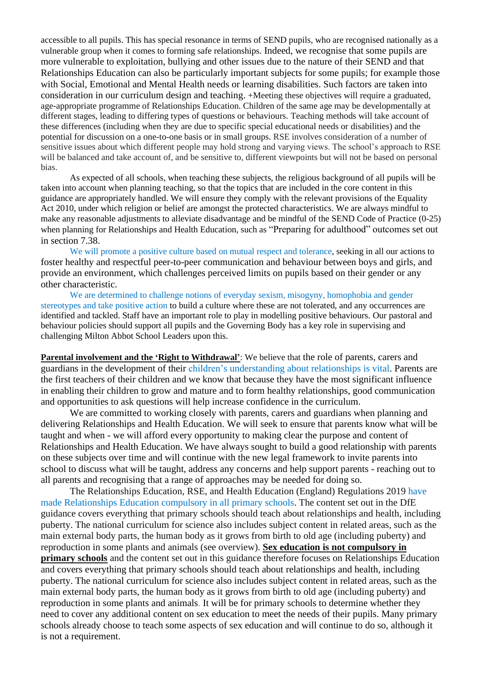accessible to all pupils. This has special resonance in terms of SEND pupils, who are recognised nationally as a vulnerable group when it comes to forming safe relationships. Indeed, we recognise that some pupils are more vulnerable to exploitation, bullying and other issues due to the nature of their SEND and that Relationships Education can also be particularly important subjects for some pupils; for example those with Social, Emotional and Mental Health needs or learning disabilities. Such factors are taken into consideration in our curriculum design and teaching. +Meeting these objectives will require a graduated, age-appropriate programme of Relationships Education. Children of the same age may be developmentally at different stages, leading to differing types of questions or behaviours. Teaching methods will take account of these differences (including when they are due to specific special educational needs or disabilities) and the potential for discussion on a one-to-one basis or in small groups. RSE involves consideration of a number of sensitive issues about which different people may hold strong and varying views. The school's approach to RSE will be balanced and take account of, and be sensitive to, different viewpoints but will not be based on personal bias.

As expected of all schools, when teaching these subjects, the religious background of all pupils will be taken into account when planning teaching, so that the topics that are included in the core content in this guidance are appropriately handled. We will ensure they comply with the relevant provisions of the Equality Act 2010, under which religion or belief are amongst the protected characteristics. We are always mindful to make any reasonable adjustments to alleviate disadvantage and be mindful of the SEND Code of Practice (0-25) when planning for Relationships and Health Education, such as "Preparing for adulthood" outcomes set out in section 7.38.

We will promote a positive culture based on mutual respect and tolerance, seeking in all our actions to foster healthy and respectful peer-to-peer communication and behaviour between boys and girls, and provide an environment, which challenges perceived limits on pupils based on their gender or any other characteristic.

We are determined to challenge notions of everyday sexism, misogyny, homophobia and gender stereotypes and take positive action to build a culture where these are not tolerated, and any occurrences are identified and tackled. Staff have an important role to play in modelling positive behaviours. Our pastoral and behaviour policies should support all pupils and the Governing Body has a key role in supervising and challenging Milton Abbot School Leaders upon this.

**Parental involvement and the 'Right to Withdrawal'**: We believe that the role of parents, carers and guardians in the development of their children's understanding about relationships is vital. Parents are the first teachers of their children and we know that because they have the most significant influence in enabling their children to grow and mature and to form healthy relationships, good communication and opportunities to ask questions will help increase confidence in the curriculum.

We are committed to working closely with parents, carers and guardians when planning and delivering Relationships and Health Education. We will seek to ensure that parents know what will be taught and when - we will afford every opportunity to making clear the purpose and content of Relationships and Health Education. We have always sought to build a good relationship with parents on these subjects over time and will continue with the new legal framework to invite parents into school to discuss what will be taught, address any concerns and help support parents - reaching out to all parents and recognising that a range of approaches may be needed for doing so.

The Relationships Education, RSE, and Health Education (England) Regulations 2019 have made Relationships Education compulsory in all primary schools. The content set out in the DfE guidance covers everything that primary schools should teach about relationships and health, including puberty. The national curriculum for science also includes subject content in related areas, such as the main external body parts, the human body as it grows from birth to old age (including puberty) and reproduction in some plants and animals (see overview). **Sex education is not compulsory in primary schools** and the content set out in this guidance therefore focuses on Relationships Education and covers everything that primary schools should teach about relationships and health, including puberty. The national curriculum for science also includes subject content in related areas, such as the main external body parts, the human body as it grows from birth to old age (including puberty) and reproduction in some plants and animals. It will be for primary schools to determine whether they need to cover any additional content on sex education to meet the needs of their pupils. Many primary schools already choose to teach some aspects of sex education and will continue to do so, although it is not a requirement.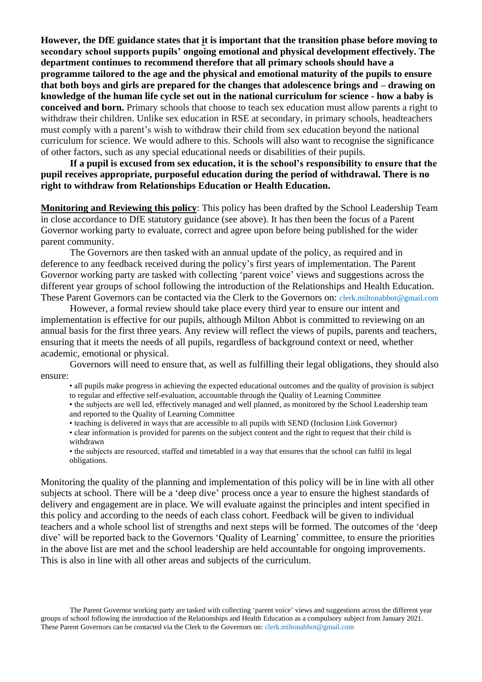**However, the DfE guidance states that it is important that the transition phase before moving to secondary school supports pupils' ongoing emotional and physical development effectively. The department continues to recommend therefore that all primary schools should have a programme tailored to the age and the physical and emotional maturity of the pupils to ensure that both boys and girls are prepared for the changes that adolescence brings and – drawing on knowledge of the human life cycle set out in the national curriculum for science - how a baby is conceived and born.** Primary schools that choose to teach sex education must allow parents a right to withdraw their children. Unlike sex education in RSE at secondary, in primary schools, headteachers must comply with a parent's wish to withdraw their child from sex education beyond the national curriculum for science. We would adhere to this. Schools will also want to recognise the significance of other factors, such as any special educational needs or disabilities of their pupils.

**If a pupil is excused from sex education, it is the school's responsibility to ensure that the pupil receives appropriate, purposeful education during the period of withdrawal. There is no right to withdraw from Relationships Education or Health Education.** 

**Monitoring and Reviewing this policy**: This policy has been drafted by the School Leadership Team in close accordance to DfE statutory guidance (see above). It has then been the focus of a Parent Governor working party to evaluate, correct and agree upon before being published for the wider parent community.

The Governors are then tasked with an annual update of the policy, as required and in deference to any feedback received during the policy's first years of implementation. The Parent Governor working party are tasked with collecting 'parent voice' views and suggestions across the different year groups of school following the introduction of the Relationships and Health Education. These Parent Governors can be contacted via the Clerk to the Governors on: clerk.miltonabbot@gmail.com

However, a formal review should take place every third year to ensure our intent and implementation is effective for our pupils, although Milton Abbot is committed to reviewing on an annual basis for the first three years. Any review will reflect the views of pupils, parents and teachers, ensuring that it meets the needs of all pupils, regardless of background context or need, whether academic, emotional or physical.

Governors will need to ensure that, as well as fulfilling their legal obligations, they should also ensure:

- all pupils make progress in achieving the expected educational outcomes and the quality of provision is subject
- to regular and effective self-evaluation, accountable through the Quality of Learning Committee

• the subjects are well led, effectively managed and well planned, as monitored by the School Leadership team and reported to the Quality of Learning Committee

- teaching is delivered in ways that are accessible to all pupils with SEND (Inclusion Link Governor)
- clear information is provided for parents on the subject content and the right to request that their child is withdrawn
- the subjects are resourced, staffed and timetabled in a way that ensures that the school can fulfil its legal obligations.

Monitoring the quality of the planning and implementation of this policy will be in line with all other subjects at school. There will be a 'deep dive' process once a year to ensure the highest standards of delivery and engagement are in place. We will evaluate against the principles and intent specified in this policy and according to the needs of each class cohort. Feedback will be given to individual teachers and a whole school list of strengths and next steps will be formed. The outcomes of the 'deep dive' will be reported back to the Governors 'Quality of Learning' committee, to ensure the priorities in the above list are met and the school leadership are held accountable for ongoing improvements. This is also in line with all other areas and subjects of the curriculum.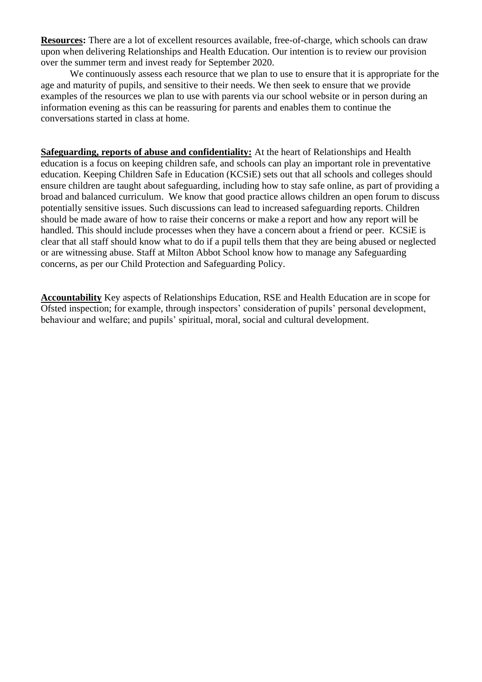**Resources:** There are a lot of excellent resources available, free-of-charge, which schools can draw upon when delivering Relationships and Health Education. Our intention is to review our provision over the summer term and invest ready for September 2020.

We continuously assess each resource that we plan to use to ensure that it is appropriate for the age and maturity of pupils, and sensitive to their needs. We then seek to ensure that we provide examples of the resources we plan to use with parents via our school website or in person during an information evening as this can be reassuring for parents and enables them to continue the conversations started in class at home.

**Safeguarding, reports of abuse and confidentiality:** At the heart of Relationships and Health education is a focus on keeping children safe, and schools can play an important role in preventative education. Keeping Children Safe in Education (KCSiE) sets out that all schools and colleges should ensure children are taught about safeguarding, including how to stay safe online, as part of providing a broad and balanced curriculum. We know that good practice allows children an open forum to discuss potentially sensitive issues. Such discussions can lead to increased safeguarding reports. Children should be made aware of how to raise their concerns or make a report and how any report will be handled. This should include processes when they have a concern about a friend or peer. KCSiE is clear that all staff should know what to do if a pupil tells them that they are being abused or neglected or are witnessing abuse. Staff at Milton Abbot School know how to manage any Safeguarding concerns, as per our Child Protection and Safeguarding Policy.

**Accountability** Key aspects of Relationships Education, RSE and Health Education are in scope for Ofsted inspection; for example, through inspectors' consideration of pupils' personal development, behaviour and welfare; and pupils' spiritual, moral, social and cultural development.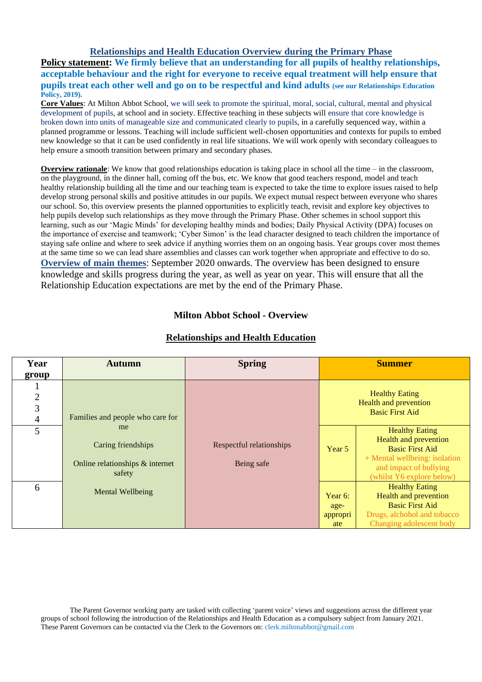## **Relationships and Health Education Overview during the Primary Phase**

**Policy statement: We firmly believe that an understanding for all pupils of healthy relationships, acceptable behaviour and the right for everyone to receive equal treatment will help ensure that pupils treat each other well and go on to be respectful and kind adults (see our Relationships Education Policy, 2019).**

**Core Values**: At Milton Abbot School, we will seek to promote the spiritual, moral, social, cultural, mental and physical development of pupils, at school and in society. Effective teaching in these subjects will ensure that core knowledge is broken down into units of manageable size and communicated clearly to pupils, in a carefully sequenced way, within a planned programme or lessons. Teaching will include sufficient well-chosen opportunities and contexts for pupils to embed new knowledge so that it can be used confidently in real life situations. We will work openly with secondary colleagues to help ensure a smooth transition between primary and secondary phases.

**Overview rationale**: We know that good relationships education is taking place in school all the time – in the classroom, on the playground, in the dinner hall, coming off the bus, etc. We know that good teachers respond, model and teach healthy relationship building all the time and our teaching team is expected to take the time to explore issues raised to help develop strong personal skills and positive attitudes in our pupils. We expect mutual respect between everyone who shares our school. So, this overview presents the planned opportunities to explicitly teach, revisit and explore key objectives to help pupils develop such relationships as they move through the Primary Phase. Other schemes in school support this learning, such as our 'Magic Minds' for developing healthy minds and bodies; Daily Physical Activity (DPA) focuses on the importance of exercise and teamwork; 'Cyber Simon' is the lead character designed to teach children the importance of staying safe online and where to seek advice if anything worries them on an ongoing basis. Year groups cover most themes at the same time so we can lead share assemblies and classes can work together when appropriate and effective to do so. **Overview of main themes**: September 2020 onwards. The overview has been designed to ensure knowledge and skills progress during the year, as well as year on year. This will ensure that all the Relationship Education expectations are met by the end of the Primary Phase.

## **Milton Abbot School - Overview**

| Year           | <b>Autumn</b>                    | <b>Spring</b>            |            | <b>Summer</b>                 |  |
|----------------|----------------------------------|--------------------------|------------|-------------------------------|--|
| group          |                                  |                          |            |                               |  |
|                |                                  |                          |            |                               |  |
| $\mathbf{2}$   |                                  |                          |            | <b>Healthy Eating</b>         |  |
| $\overline{3}$ |                                  |                          |            | Health and prevention         |  |
| $\overline{4}$ | Families and people who care for |                          |            | <b>Basic First Aid</b>        |  |
| 5              | me                               |                          |            | <b>Healthy Eating</b>         |  |
|                |                                  |                          |            | Health and prevention         |  |
|                | Caring friendships               | Respectful relationships | Year 5     | <b>Basic First Aid</b>        |  |
|                | Online relationships & internet  | Being safe               |            | + Mental wellbeing: isolation |  |
|                | safety                           |                          |            | and impact of bullying        |  |
|                |                                  |                          |            | (whilst Y6 explore below)     |  |
| 6              | <b>Mental Wellbeing</b>          |                          |            | <b>Healthy Eating</b>         |  |
|                |                                  |                          | Year $6$ : | <b>Health and prevention</b>  |  |
|                |                                  |                          | age-       | <b>Basic First Aid</b>        |  |
|                |                                  |                          | appropri   | Drugs, alchohol and tobacco   |  |
|                |                                  |                          | ate        | Changing adolescent body      |  |

#### **Relationships and Health Education**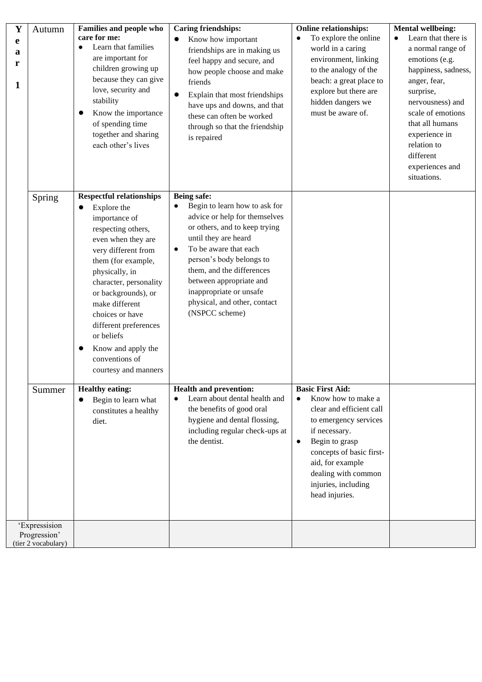| Y                | Autumn                              | <b>Families and people who</b>                                                                                                                                                                                                                                                                                                                                          | <b>Caring friendships:</b>                                                                                                                                                                                                                                                                                                                                        | <b>Online relationships:</b>                                                                                                                                                                                                                                                    | <b>Mental wellbeing:</b>                                                                                                                                                                                                                                  |
|------------------|-------------------------------------|-------------------------------------------------------------------------------------------------------------------------------------------------------------------------------------------------------------------------------------------------------------------------------------------------------------------------------------------------------------------------|-------------------------------------------------------------------------------------------------------------------------------------------------------------------------------------------------------------------------------------------------------------------------------------------------------------------------------------------------------------------|---------------------------------------------------------------------------------------------------------------------------------------------------------------------------------------------------------------------------------------------------------------------------------|-----------------------------------------------------------------------------------------------------------------------------------------------------------------------------------------------------------------------------------------------------------|
| e<br>a<br>r<br>1 |                                     | care for me:<br>Learn that families<br>$\bullet$<br>are important for<br>children growing up<br>because they can give<br>love, security and<br>stability<br>Know the importance<br>of spending time<br>together and sharing<br>each other's lives                                                                                                                       | Know how important<br>$\bullet$<br>friendships are in making us<br>feel happy and secure, and<br>how people choose and make<br>friends<br>Explain that most friendships<br>have ups and downs, and that<br>these can often be worked<br>through so that the friendship<br>is repaired                                                                             | To explore the online<br>$\bullet$<br>world in a caring<br>environment, linking<br>to the analogy of the<br>beach: a great place to<br>explore but there are<br>hidden dangers we<br>must be aware of.                                                                          | Learn that there is<br>a normal range of<br>emotions (e.g.<br>happiness, sadness,<br>anger, fear,<br>surprise,<br>nervousness) and<br>scale of emotions<br>that all humans<br>experience in<br>relation to<br>different<br>experiences and<br>situations. |
|                  | Spring                              | <b>Respectful relationships</b><br>Explore the<br>importance of<br>respecting others,<br>even when they are<br>very different from<br>them (for example,<br>physically, in<br>character, personality<br>or backgrounds), or<br>make different<br>choices or have<br>different preferences<br>or beliefs<br>Know and apply the<br>conventions of<br>courtesy and manners | <b>Being safe:</b><br>Begin to learn how to ask for<br>$\bullet$<br>advice or help for themselves<br>or others, and to keep trying<br>until they are heard<br>To be aware that each<br>$\bullet$<br>person's body belongs to<br>them, and the differences<br>between appropriate and<br>inappropriate or unsafe<br>physical, and other, contact<br>(NSPCC scheme) |                                                                                                                                                                                                                                                                                 |                                                                                                                                                                                                                                                           |
|                  | Summer                              | <b>Healthy eating:</b><br>Begin to learn what<br>constitutes a healthy<br>diet.                                                                                                                                                                                                                                                                                         | <b>Health and prevention:</b><br>Learn about dental health and<br>the benefits of good oral<br>hygiene and dental flossing,<br>including regular check-ups at<br>the dentist.                                                                                                                                                                                     | <b>Basic First Aid:</b><br>Know how to make a<br>$\bullet$<br>clear and efficient call<br>to emergency services<br>if necessary.<br>Begin to grasp<br>$\bullet$<br>concepts of basic first-<br>aid, for example<br>dealing with common<br>injuries, including<br>head injuries. |                                                                                                                                                                                                                                                           |
|                  | 'Expressision                       |                                                                                                                                                                                                                                                                                                                                                                         |                                                                                                                                                                                                                                                                                                                                                                   |                                                                                                                                                                                                                                                                                 |                                                                                                                                                                                                                                                           |
|                  | Progression'<br>(tier 2 vocabulary) |                                                                                                                                                                                                                                                                                                                                                                         |                                                                                                                                                                                                                                                                                                                                                                   |                                                                                                                                                                                                                                                                                 |                                                                                                                                                                                                                                                           |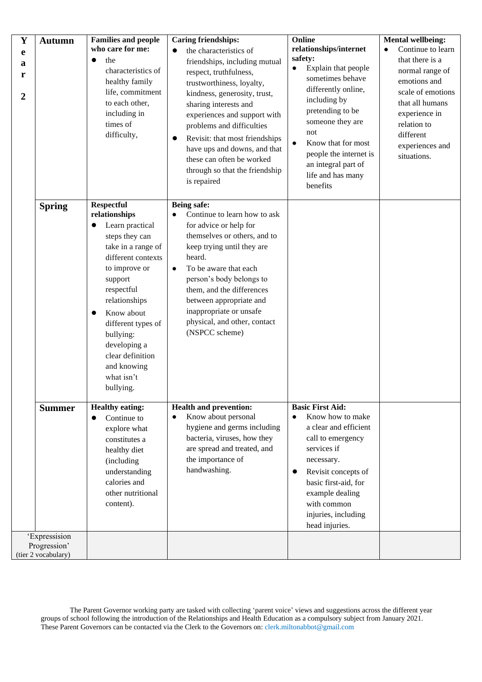| $\mathbf Y$<br>e<br>a<br>r<br>$\overline{2}$ | <b>Autumn</b>                       | <b>Families and people</b><br>who care for me:<br>$\bullet$<br>the<br>characteristics of<br>healthy family<br>life, commitment<br>to each other,<br>including in<br>times of<br>difficulty,                                                                                                                                             | <b>Caring friendships:</b><br>the characteristics of<br>$\bullet$<br>friendships, including mutual<br>respect, truthfulness,<br>trustworthiness, loyalty,<br>kindness, generosity, trust,<br>sharing interests and<br>experiences and support with<br>problems and difficulties<br>Revisit: that most friendships<br>$\bullet$<br>have ups and downs, and that<br>these can often be worked | Online<br>relationships/internet<br>safety:<br>Explain that people<br>$\bullet$<br>sometimes behave<br>differently online,<br>including by<br>pretending to be<br>someone they are<br>not<br>Know that for most<br>people the internet is                     | <b>Mental wellbeing:</b><br>Continue to learn<br>$\bullet$<br>that there is a<br>normal range of<br>emotions and<br>scale of emotions<br>that all humans<br>experience in<br>relation to<br>different<br>experiences and<br>situations. |
|----------------------------------------------|-------------------------------------|-----------------------------------------------------------------------------------------------------------------------------------------------------------------------------------------------------------------------------------------------------------------------------------------------------------------------------------------|---------------------------------------------------------------------------------------------------------------------------------------------------------------------------------------------------------------------------------------------------------------------------------------------------------------------------------------------------------------------------------------------|---------------------------------------------------------------------------------------------------------------------------------------------------------------------------------------------------------------------------------------------------------------|-----------------------------------------------------------------------------------------------------------------------------------------------------------------------------------------------------------------------------------------|
|                                              |                                     |                                                                                                                                                                                                                                                                                                                                         | through so that the friendship<br>is repaired                                                                                                                                                                                                                                                                                                                                               | an integral part of<br>life and has many<br>benefits                                                                                                                                                                                                          |                                                                                                                                                                                                                                         |
|                                              | <b>Spring</b>                       | <b>Respectful</b><br>relationships<br>Learn practical<br>$\bullet$<br>steps they can<br>take in a range of<br>different contexts<br>to improve or<br>support<br>respectful<br>relationships<br>Know about<br>$\bullet$<br>different types of<br>bullying:<br>developing a<br>clear definition<br>and knowing<br>what isn't<br>bullying. | Being safe:<br>Continue to learn how to ask<br>$\bullet$<br>for advice or help for<br>themselves or others, and to<br>keep trying until they are<br>heard.<br>To be aware that each<br>$\bullet$<br>person's body belongs to<br>them, and the differences<br>between appropriate and<br>inappropriate or unsafe<br>physical, and other, contact<br>(NSPCC scheme)                           |                                                                                                                                                                                                                                                               |                                                                                                                                                                                                                                         |
|                                              | <b>Summer</b><br>'Expressision      | <b>Healthy eating:</b><br>Continue to<br>$\bullet$<br>explore what<br>constitutes a<br>healthy diet<br>(including<br>understanding<br>calories and<br>other nutritional<br>content).                                                                                                                                                    | <b>Health and prevention:</b><br>Know about personal<br>$\bullet$<br>hygiene and germs including<br>bacteria, viruses, how they<br>are spread and treated, and<br>the importance of<br>handwashing.                                                                                                                                                                                         | <b>Basic First Aid:</b><br>Know how to make<br>a clear and efficient<br>call to emergency<br>services if<br>necessary.<br>Revisit concepts of<br>$\bullet$<br>basic first-aid, for<br>example dealing<br>with common<br>injuries, including<br>head injuries. |                                                                                                                                                                                                                                         |
|                                              | Progression'<br>(tier 2 vocabulary) |                                                                                                                                                                                                                                                                                                                                         |                                                                                                                                                                                                                                                                                                                                                                                             |                                                                                                                                                                                                                                                               |                                                                                                                                                                                                                                         |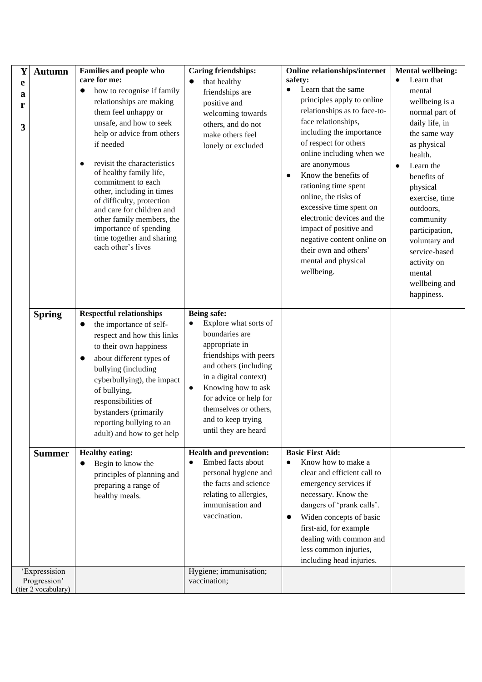| Y           | <b>Autumn</b>                                        | Families and people who                                                                                                                                                                                                                                                                                                                                                                                              | <b>Caring friendships:</b>                                                                                                                                                                                                                                                  | <b>Online relationships/internet</b>                                                                                                                                                                                                                                                                                                                                                                                                       | <b>Mental wellbeing:</b>                                                                                                                                                                                                                                                                     |
|-------------|------------------------------------------------------|----------------------------------------------------------------------------------------------------------------------------------------------------------------------------------------------------------------------------------------------------------------------------------------------------------------------------------------------------------------------------------------------------------------------|-----------------------------------------------------------------------------------------------------------------------------------------------------------------------------------------------------------------------------------------------------------------------------|--------------------------------------------------------------------------------------------------------------------------------------------------------------------------------------------------------------------------------------------------------------------------------------------------------------------------------------------------------------------------------------------------------------------------------------------|----------------------------------------------------------------------------------------------------------------------------------------------------------------------------------------------------------------------------------------------------------------------------------------------|
| e           |                                                      | care for me:<br>how to recognise if family<br>$\bullet$                                                                                                                                                                                                                                                                                                                                                              | that healthy<br>$\bullet$                                                                                                                                                                                                                                                   | safety:<br>Learn that the same<br>$\bullet$                                                                                                                                                                                                                                                                                                                                                                                                | Learn that<br>$\bullet$<br>mental                                                                                                                                                                                                                                                            |
| a<br>r<br>3 |                                                      | relationships are making<br>them feel unhappy or<br>unsafe, and how to seek<br>help or advice from others<br>if needed<br>revisit the characteristics<br>$\bullet$<br>of healthy family life,<br>commitment to each<br>other, including in times<br>of difficulty, protection<br>and care for children and<br>other family members, the<br>importance of spending<br>time together and sharing<br>each other's lives | friendships are<br>positive and<br>welcoming towards<br>others, and do not<br>make others feel<br>lonely or excluded                                                                                                                                                        | principles apply to online<br>relationships as to face-to-<br>face relationships,<br>including the importance<br>of respect for others<br>online including when we<br>are anonymous<br>Know the benefits of<br>rationing time spent<br>online, the risks of<br>excessive time spent on<br>electronic devices and the<br>impact of positive and<br>negative content online on<br>their own and others'<br>mental and physical<br>wellbeing. | wellbeing is a<br>normal part of<br>daily life, in<br>the same way<br>as physical<br>health.<br>Learn the<br>benefits of<br>physical<br>exercise, time<br>outdoors,<br>community<br>participation,<br>voluntary and<br>service-based<br>activity on<br>mental<br>wellbeing and<br>happiness. |
|             | <b>Spring</b>                                        | <b>Respectful relationships</b><br>the importance of self-<br>$\bullet$<br>respect and how this links<br>to their own happiness<br>about different types of<br>$\bullet$<br>bullying (including<br>cyberbullying), the impact<br>of bullying,<br>responsibilities of<br>bystanders (primarily<br>reporting bullying to an<br>adult) and how to get help                                                              | Being safe:<br>Explore what sorts of<br>boundaries are<br>appropriate in<br>friendships with peers<br>and others (including<br>in a digital context)<br>Knowing how to ask<br>for advice or help for<br>themselves or others,<br>and to keep trying<br>until they are heard |                                                                                                                                                                                                                                                                                                                                                                                                                                            |                                                                                                                                                                                                                                                                                              |
|             | <b>Summer</b>                                        | <b>Healthy eating:</b><br>Begin to know the<br>$\bullet$<br>principles of planning and<br>preparing a range of<br>healthy meals.                                                                                                                                                                                                                                                                                     | <b>Health and prevention:</b><br>Embed facts about<br>personal hygiene and<br>the facts and science<br>relating to allergies,<br>immunisation and<br>vaccination.                                                                                                           | <b>Basic First Aid:</b><br>Know how to make a<br>clear and efficient call to<br>emergency services if<br>necessary. Know the<br>dangers of 'prank calls'.<br>Widen concepts of basic<br>$\bullet$<br>first-aid, for example<br>dealing with common and<br>less common injuries,<br>including head injuries.                                                                                                                                |                                                                                                                                                                                                                                                                                              |
|             | 'Expressision<br>Progression'<br>(tier 2 vocabulary) |                                                                                                                                                                                                                                                                                                                                                                                                                      | Hygiene; immunisation;<br>vaccination;                                                                                                                                                                                                                                      |                                                                                                                                                                                                                                                                                                                                                                                                                                            |                                                                                                                                                                                                                                                                                              |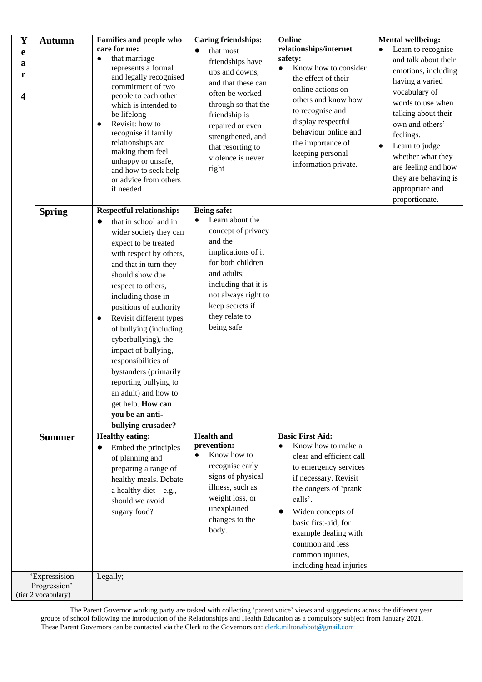| $\mathbf Y$<br>e<br>a<br>r<br>$\overline{\mathbf{4}}$ | <b>Autumn</b>                                        | <b>Families and people who</b><br>care for me:<br>that marriage<br>represents a formal<br>and legally recognised<br>commitment of two<br>people to each other<br>which is intended to<br>be lifelong<br>Revisit: how to<br>$\bullet$<br>recognise if family<br>relationships are<br>making them feel<br>unhappy or unsafe,<br>and how to seek help<br>or advice from others<br>if needed                                                                                                                                  | <b>Caring friendships:</b><br>that most<br>friendships have<br>ups and downs,<br>and that these can<br>often be worked<br>through so that the<br>friendship is<br>repaired or even<br>strengthened, and<br>that resorting to<br>violence is never<br>right | Online<br>relationships/internet<br>safety:<br>Know how to consider<br>$\bullet$<br>the effect of their<br>online actions on<br>others and know how<br>to recognise and<br>display respectful<br>behaviour online and<br>the importance of<br>keeping personal<br>information private.                  | <b>Mental wellbeing:</b><br>Learn to recognise<br>and talk about their<br>emotions, including<br>having a varied<br>vocabulary of<br>words to use when<br>talking about their<br>own and others'<br>feelings.<br>Learn to judge<br>$\bullet$<br>whether what they<br>are feeling and how<br>they are behaving is<br>appropriate and<br>proportionate. |
|-------------------------------------------------------|------------------------------------------------------|---------------------------------------------------------------------------------------------------------------------------------------------------------------------------------------------------------------------------------------------------------------------------------------------------------------------------------------------------------------------------------------------------------------------------------------------------------------------------------------------------------------------------|------------------------------------------------------------------------------------------------------------------------------------------------------------------------------------------------------------------------------------------------------------|---------------------------------------------------------------------------------------------------------------------------------------------------------------------------------------------------------------------------------------------------------------------------------------------------------|-------------------------------------------------------------------------------------------------------------------------------------------------------------------------------------------------------------------------------------------------------------------------------------------------------------------------------------------------------|
|                                                       | <b>Spring</b>                                        | <b>Respectful relationships</b><br>that in school and in<br>wider society they can<br>expect to be treated<br>with respect by others,<br>and that in turn they<br>should show due<br>respect to others,<br>including those in<br>positions of authority<br>Revisit different types<br>of bullying (including<br>cyberbullying), the<br>impact of bullying,<br>responsibilities of<br>bystanders (primarily<br>reporting bullying to<br>an adult) and how to<br>get help. How can<br>you be an anti-<br>bullying crusader? | Being safe:<br>Learn about the<br>$\bullet$<br>concept of privacy<br>and the<br>implications of it<br>for both children<br>and adults;<br>including that it is<br>not always right to<br>keep secrets if<br>they relate to<br>being safe                   |                                                                                                                                                                                                                                                                                                         |                                                                                                                                                                                                                                                                                                                                                       |
|                                                       | <b>Summer</b>                                        | <b>Healthy eating:</b><br>Embed the principles<br>of planning and<br>preparing a range of<br>healthy meals. Debate<br>a healthy diet $-e.g.,$<br>should we avoid<br>sugary food?                                                                                                                                                                                                                                                                                                                                          | <b>Health and</b><br>prevention:<br>Know how to<br>recognise early<br>signs of physical<br>illness, such as<br>weight loss, or<br>unexplained<br>changes to the<br>body.                                                                                   | <b>Basic First Aid:</b><br>Know how to make a<br>clear and efficient call<br>to emergency services<br>if necessary. Revisit<br>the dangers of 'prank<br>calls'.<br>Widen concepts of<br>basic first-aid, for<br>example dealing with<br>common and less<br>common injuries,<br>including head injuries. |                                                                                                                                                                                                                                                                                                                                                       |
|                                                       | 'Expressision<br>Progression'<br>(tier 2 vocabulary) | Legally;                                                                                                                                                                                                                                                                                                                                                                                                                                                                                                                  |                                                                                                                                                                                                                                                            |                                                                                                                                                                                                                                                                                                         |                                                                                                                                                                                                                                                                                                                                                       |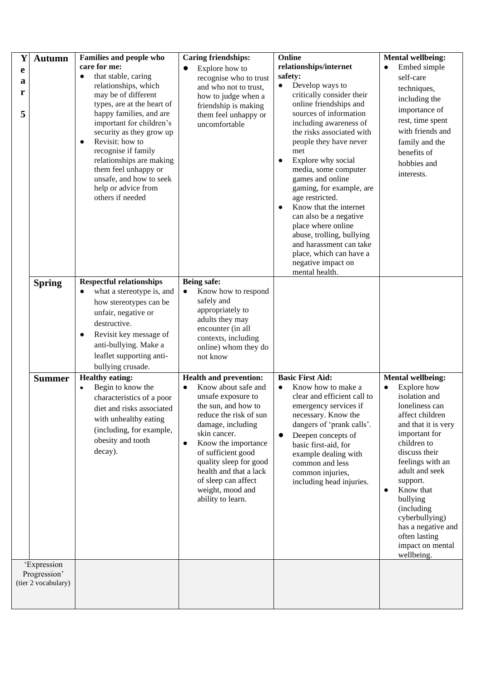| Y                | <b>Autumn</b>                                      | Families and people who<br>care for me:                                                                                                                                                                                                                                                                                                                                           | <b>Caring friendships:</b><br>Explore how to<br>$\bullet$                                                                                                                                                                                                                                                                                                   | Online<br>relationships/internet                                                                                                                                                                                                                                                                                                                                                                                                                                                                                                               | <b>Mental wellbeing:</b><br>Embed simple<br>$\bullet$                                                                                                                                                                                                                                                                                                                               |
|------------------|----------------------------------------------------|-----------------------------------------------------------------------------------------------------------------------------------------------------------------------------------------------------------------------------------------------------------------------------------------------------------------------------------------------------------------------------------|-------------------------------------------------------------------------------------------------------------------------------------------------------------------------------------------------------------------------------------------------------------------------------------------------------------------------------------------------------------|------------------------------------------------------------------------------------------------------------------------------------------------------------------------------------------------------------------------------------------------------------------------------------------------------------------------------------------------------------------------------------------------------------------------------------------------------------------------------------------------------------------------------------------------|-------------------------------------------------------------------------------------------------------------------------------------------------------------------------------------------------------------------------------------------------------------------------------------------------------------------------------------------------------------------------------------|
| e<br>a<br>r<br>5 |                                                    | that stable, caring<br>$\bullet$<br>relationships, which<br>may be of different<br>types, are at the heart of<br>happy families, and are<br>important for children's<br>security as they grow up<br>Revisit: how to<br>$\bullet$<br>recognise if family<br>relationships are making<br>them feel unhappy or<br>unsafe, and how to seek<br>help or advice from<br>others if needed | recognise who to trust<br>and who not to trust,<br>how to judge when a<br>friendship is making<br>them feel unhappy or<br>uncomfortable                                                                                                                                                                                                                     | safety:<br>Develop ways to<br>$\bullet$<br>critically consider their<br>online friendships and<br>sources of information<br>including awareness of<br>the risks associated with<br>people they have never<br>met<br>Explore why social<br>$\bullet$<br>media, some computer<br>games and online<br>gaming, for example, are<br>age restricted.<br>Know that the internet<br>$\bullet$<br>can also be a negative<br>place where online<br>abuse, trolling, bullying<br>and harassment can take<br>place, which can have a<br>negative impact on | self-care<br>techniques,<br>including the<br>importance of<br>rest, time spent<br>with friends and<br>family and the<br>benefits of<br>hobbies and<br>interests.                                                                                                                                                                                                                    |
|                  | <b>Spring</b>                                      | <b>Respectful relationships</b><br>what a stereotype is, and<br>$\bullet$<br>how stereotypes can be<br>unfair, negative or<br>destructive.<br>Revisit key message of<br>$\bullet$<br>anti-bullying. Make a<br>leaflet supporting anti-<br>bullying crusade.                                                                                                                       | Being safe:<br>Know how to respond<br>$\bullet$<br>safely and<br>appropriately to<br>adults they may<br>encounter (in all<br>contexts, including<br>online) whom they do<br>not know                                                                                                                                                                        | mental health.                                                                                                                                                                                                                                                                                                                                                                                                                                                                                                                                 |                                                                                                                                                                                                                                                                                                                                                                                     |
|                  | <b>Summer</b>                                      | <b>Healthy eating:</b><br>Begin to know the<br>$\bullet$<br>characteristics of a poor<br>diet and risks associated<br>with unhealthy eating<br>(including, for example,<br>obesity and tooth<br>decay).                                                                                                                                                                           | <b>Health and prevention:</b><br>Know about safe and<br>$\bullet$<br>unsafe exposure to<br>the sun, and how to<br>reduce the risk of sun<br>damage, including<br>skin cancer.<br>Know the importance<br>$\bullet$<br>of sufficient good<br>quality sleep for good<br>health and that a lack<br>of sleep can affect<br>weight, mood and<br>ability to learn. | <b>Basic First Aid:</b><br>Know how to make a<br>$\bullet$<br>clear and efficient call to<br>emergency services if<br>necessary. Know the<br>dangers of 'prank calls'.<br>Deepen concepts of<br>$\bullet$<br>basic first-aid, for<br>example dealing with<br>common and less<br>common injuries,<br>including head injuries.                                                                                                                                                                                                                   | <b>Mental wellbeing:</b><br>Explore how<br>$\bullet$<br>isolation and<br>loneliness can<br>affect children<br>and that it is very<br>important for<br>children to<br>discuss their<br>feelings with an<br>adult and seek<br>support.<br>Know that<br>$\bullet$<br>bullying<br>(including<br>cyberbullying)<br>has a negative and<br>often lasting<br>impact on mental<br>wellbeing. |
|                  | 'Expression<br>Progression'<br>(tier 2 vocabulary) |                                                                                                                                                                                                                                                                                                                                                                                   |                                                                                                                                                                                                                                                                                                                                                             |                                                                                                                                                                                                                                                                                                                                                                                                                                                                                                                                                |                                                                                                                                                                                                                                                                                                                                                                                     |